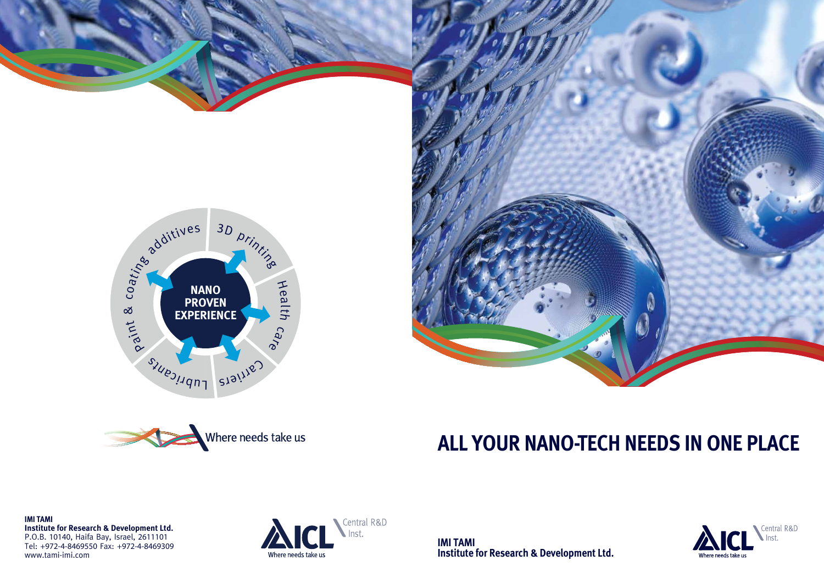

**IMI TAMI Institute for Research & Development Ltd.**